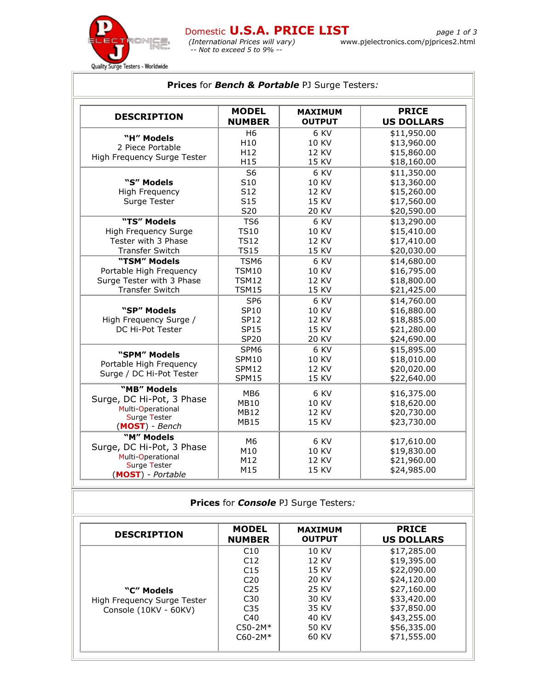

| <b>DESCRIPTION</b>          | <b>MODEL</b>    | <b>MAXIMUM</b> | <b>PRICE</b>      |
|-----------------------------|-----------------|----------------|-------------------|
|                             | <b>NUMBER</b>   | <b>OUTPUT</b>  | <b>US DOLLARS</b> |
| "H" Models                  | H <sub>6</sub>  | 6 KV           | \$11,950.00       |
| 2 Piece Portable            | H <sub>10</sub> | <b>10 KV</b>   | \$13,960.00       |
| High Frequency Surge Tester | H <sub>12</sub> | <b>12 KV</b>   | \$15,860.00       |
|                             | H <sub>15</sub> | 15 KV          | \$18,160.00       |
|                             | S <sub>6</sub>  | 6 KV           | \$11,350.00       |
| "S" Models                  | S10             | <b>10 KV</b>   | \$13,360.00       |
| <b>High Frequency</b>       | S12             | 12 KV          | \$15,260.00       |
| Surge Tester                | S <sub>15</sub> | <b>15 KV</b>   | \$17,560.00       |
|                             | S20             | <b>20 KV</b>   | \$20,590.00       |
| "TS" Models                 | TS <sub>6</sub> | 6 KV           | \$13,290.00       |
| High Frequency Surge        | <b>TS10</b>     | <b>10 KV</b>   | \$15,410.00       |
| Tester with 3 Phase         | <b>TS12</b>     | <b>12 KV</b>   | \$17,410.00       |
| <b>Transfer Switch</b>      | <b>TS15</b>     | <b>15 KV</b>   | \$20,030.00       |
| "TSM" Models                | TSM6            | 6 KV           | \$14,680.00       |
| Portable High Frequency     | <b>TSM10</b>    | <b>10 KV</b>   | \$16,795.00       |
| Surge Tester with 3 Phase   | <b>TSM12</b>    | 12 KV          | \$18,800.00       |
| <b>Transfer Switch</b>      | <b>TSM15</b>    | 15 KV          | \$21,425.00       |
|                             | SP <sub>6</sub> | 6 KV           | \$14,760.00       |
| "SP" Models                 | <b>SP10</b>     | <b>10 KV</b>   | \$16,880.00       |
| High Frequency Surge /      | <b>SP12</b>     | <b>12 KV</b>   | \$18,885.00       |
| DC Hi-Pot Tester            | <b>SP15</b>     | 15 KV          | \$21,280.00       |
|                             | <b>SP20</b>     | <b>20 KV</b>   | \$24,690.00       |
| "SPM" Models                | SPM6            | 6 KV           | \$15,895.00       |
| Portable High Frequency     | <b>SPM10</b>    | <b>10 KV</b>   | \$18,010.00       |
| Surge / DC Hi-Pot Tester    | SPM12           | <b>12 KV</b>   | \$20,020.00       |
|                             | SPM15           | 15 KV          | \$22,640.00       |
| "MB" Models                 | MB <sub>6</sub> | 6 KV           | \$16,375.00       |
| Surge, DC Hi-Pot, 3 Phase   | <b>MB10</b>     | <b>10 KV</b>   | \$18,620.00       |
| Multi-Operational           | <b>MB12</b>     | <b>12 KV</b>   | \$20,730.00       |
| <b>Surge Tester</b>         | <b>MB15</b>     | <b>15 KV</b>   | \$23,730.00       |
| (MOST) - Bench              |                 |                |                   |
| "M" Models                  | M6              | 6 KV           | \$17,610.00       |
| Surge, DC Hi-Pot, 3 Phase   | M10             | <b>10 KV</b>   | \$19,830.00       |
| Multi-Operational           | M12             | <b>12 KV</b>   | \$21,960.00       |
| <b>Surge Tester</b>         | M15             | 15 KV          | \$24,985.00       |
| (MOST) - Portable           |                 |                |                   |

| <b>Prices for Console PJ Surge Testers:</b>                        |                                                                                                                      |                                                                                        |                                                                                                                                                    |  |  |
|--------------------------------------------------------------------|----------------------------------------------------------------------------------------------------------------------|----------------------------------------------------------------------------------------|----------------------------------------------------------------------------------------------------------------------------------------------------|--|--|
| <b>DESCRIPTION</b>                                                 | <b>MODEL</b><br><b>NUMBER</b>                                                                                        | <b>MAXIMUM</b><br><b>OUTPUT</b>                                                        | <b>PRICE</b><br><b>US DOLLARS</b>                                                                                                                  |  |  |
| "C" Models<br>High Frequency Surge Tester<br>Console (10KV - 60KV) | C10<br>C12<br>C15<br>C <sub>20</sub><br>C <sub>25</sub><br>C30<br>C <sub>35</sub><br>C40<br>$C50-2M*$<br>$C60 - 2M*$ | 10 KV<br>12 KV<br>15 KV<br>20 KV<br>25 KV<br>30 KV<br>35 KV<br>40 KV<br>50 KV<br>60 KV | \$17,285.00<br>\$19,395.00<br>\$22,090.00<br>\$24,120.00<br>\$27,160.00<br>\$33,420.00<br>\$37,850.00<br>\$43,255.00<br>\$56,335.00<br>\$71,555.00 |  |  |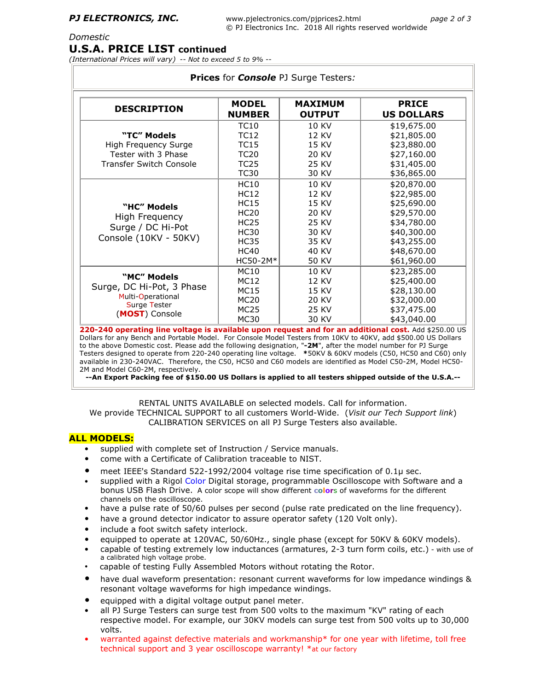### *Domestic*

## **U.S.A. PRICE LIST continued**

*(International Prices will vary) -- Not to exceed 5 to 9% --*

| <b>DESCRIPTION</b>                    | <b>MODEL</b><br><b>NUMBER</b> | <b>MAXIMUM</b><br><b>OUTPUT</b> | <b>PRICE</b><br><b>US DOLLARS</b> |
|---------------------------------------|-------------------------------|---------------------------------|-----------------------------------|
|                                       | <b>TC10</b>                   | 10 KV                           | \$19,675.00                       |
| "TC" Models                           | <b>TC12</b>                   | 12 KV                           | \$21,805.00                       |
| High Frequency Surge                  | <b>TC15</b>                   | 15 KV                           | \$23,880.00                       |
| Tester with 3 Phase                   | <b>TC20</b>                   | 20 KV                           | \$27,160.00                       |
| <b>Transfer Switch Console</b>        | TC <sub>25</sub>              | 25 KV                           | \$31,405.00                       |
|                                       | <b>TC30</b>                   | 30 KV                           | \$36,865.00                       |
|                                       | <b>HC10</b>                   | 10 KV                           | \$20,870.00                       |
| "HC" Models<br>High Frequency         | <b>HC12</b>                   | 12 KV                           | \$22,985.00                       |
|                                       | <b>HC15</b>                   | 15 KV                           | \$25,690.00                       |
|                                       | <b>HC20</b>                   | 20 KV                           | \$29,570.00                       |
|                                       | <b>HC25</b>                   | 25 KV                           | \$34,780.00                       |
| Surge / DC Hi-Pot                     | <b>HC30</b>                   | 30 KV                           | \$40,300.00                       |
| Console (10KV - 50KV)                 | <b>HC35</b>                   | 35 KV                           | \$43,255.00                       |
|                                       | <b>HC40</b>                   | 40 KV                           | \$48,670.00                       |
|                                       | HC50-2M*                      | 50 KV                           | \$61,960.00                       |
|                                       | <b>MC10</b>                   | 10 KV                           | \$23,285.00                       |
| "MC" Models                           | <b>MC12</b>                   | 12 KV                           | \$25,400.00                       |
| Surge, DC Hi-Pot, 3 Phase             | <b>MC15</b>                   | 15 KV                           | \$28,130.00                       |
| Multi-Operational                     | <b>MC20</b>                   | 20 KV                           | \$32,000.00                       |
| <b>Surge Tester</b><br>(MOST) Console | <b>MC25</b>                   | 25 KV                           | \$37,475.00                       |
|                                       | <b>MC30</b>                   | 30 KV                           | \$43,040.00                       |

available in 230-240VAC. Therefore, the C50, HC50 and C60 models are identified as Model C50-2M, Model HC50- 2M and Model C60-2M, respectively.

**--An Export Packing fee of \$150.00 US Dollars is applied to all testers shipped outside of the U.S.A.--**

RENTAL UNITS AVAILABLE on selected models. Call for information.

We provide TECHNICAL SUPPORT to all customers World-Wide. (*Visit our Tech Support link*) CALIBRATION SERVICES on all PJ Surge Testers also available.

## **ALL MODELS:**

- supplied with complete set of Instruction / Service manuals.
- come with a Certificate of Calibration traceable to NIST.
- meet IEEE's Standard 522-1992/2004 voltage rise time specification of 0.1µ sec.
- supplied with a Rigol Color Digital storage, programmable Oscilloscope with Software and a bonus USB Flash Drive. A color scope will show different **color**s of waveforms for the different channels on the oscilloscope.
- have a pulse rate of 50/60 pulses per second (pulse rate predicated on the line frequency).
- have a ground detector indicator to assure operator safety (120 Volt only).
- include a foot switch safety interlock.
- equipped to operate at 120VAC, 50/60Hz., single phase (except for 50KV & 60KV models).
- capable of testing extremely low inductances (armatures, 2-3 turn form coils, etc.) with use of a calibrated high voltage probe.
- capable of testing Fully Assembled Motors without rotating the Rotor.
- have dual waveform presentation: resonant current waveforms for low impedance windings & resonant voltage waveforms for high impedance windings.
- equipped with a digital voltage output panel meter.
- all PJ Surge Testers can surge test from 500 volts to the maximum "KV" rating of each respective model. For example, our 30KV models can surge test from 500 volts up to 30,000 volts.
- warranted against defective materials and workmanship\* for one year with lifetime, toll free technical support and 3 year oscilloscope warranty! \*at our factory